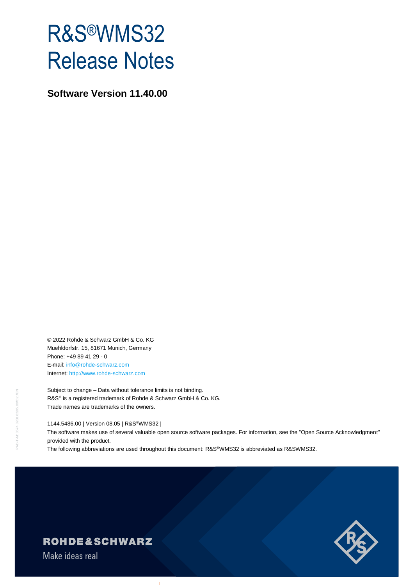# R&S®WMS32 Release Notes

**Software Version 11.40.00**

© 2022 Rohde & Schwarz GmbH & Co. KG Muehldorfstr. 15, 81671 Munich, Germany Phone: +49 89 41 29 - 0 E-mail: [info@rohde-schwarz.com](mailto:info@rohde-schwarz.com) Internet[: http://www.rohde-schwarz.com](http://www.rohde-schwarz.com/)

Subject to change – Data without tolerance limits is not binding. R&S<sup>®</sup> is a registered trademark of Rohde & Schwarz GmbH & Co. KG. Trade names are trademarks of the owners.

1144.5486.00 | Version 08.05 | R&S®WMS32 |

The software makes use of several valuable open source software packages. For information, see the "Open Source Acknowledgment" provided with the product.

The following abbreviations are used throughout this document: R&S®WMS32 is abbreviated as R&SWMS32.



## **ROHDE&SCHWARZ**

Make ideas real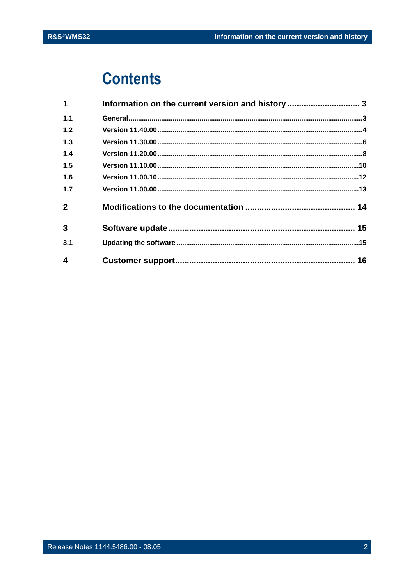## **Contents**

| 1            | Information on the current version and history  3 |  |
|--------------|---------------------------------------------------|--|
| 1.1          |                                                   |  |
| 1.2          |                                                   |  |
| 1.3          |                                                   |  |
| 1.4          |                                                   |  |
| 1.5          |                                                   |  |
| 1.6          |                                                   |  |
| 1.7          |                                                   |  |
| $\mathbf{2}$ |                                                   |  |
| $\mathbf{3}$ |                                                   |  |
| 3.1          |                                                   |  |
| 4            |                                                   |  |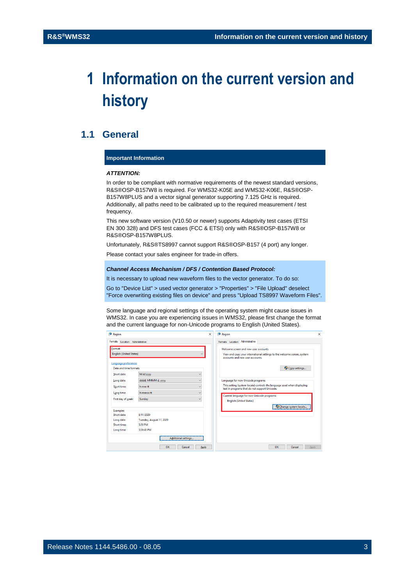## <span id="page-2-0"></span>**1 Information on the current version and history**

### <span id="page-2-1"></span>**1.1 General**

#### **Important Information**

#### *ATTENTION:*

In order to be compliant with normative requirements of the newest standard versions, R&S®OSP-B157W8 is required. For WMS32-K05E and WMS32-K06E, R&S®OSP-B157W8PLUS and a vector signal generator supporting 7.125 GHz is required. Additionally, all paths need to be calibrated up to the required measurement / test frequency.

This new software version (V10.50 or newer) supports Adaptivity test cases (ETSI EN 300 328) and DFS test cases (FCC & ETSI) only with R&S®OSP-B157W8 or R&S®OSP-B157W8PLUS.

Unfortunately, R&S®TS8997 cannot support R&S®OSP-B157 (4 port) any longer.

Please contact your sales engineer for trade-in offers.

#### *Channel Access Mechanism / DFS / Contention Based Protocol:*

It is necessary to upload new waveform files to the vector generator. To do so:

Go to "Device List" > used vector generator > "Properties" > "File Upload" deselect "Force overwriting existing files on device" and press "Upload TS8997 Waveform Files".

Some language and regional settings of the operating system might cause issues in WMS32. In case you are experiencing issues in WMS32, please first change the format and the current language for non-Unicode programs to English (United States).

| Region                                                       |                                     | $\times$                           | Region                                                                                                                                             | $\times$ |
|--------------------------------------------------------------|-------------------------------------|------------------------------------|----------------------------------------------------------------------------------------------------------------------------------------------------|----------|
| Formats<br>Location Administrative                           |                                     | Administrative<br>Formats Location |                                                                                                                                                    |          |
| Format:<br><b>English (United States)</b>                    |                                     |                                    | Welcome screen and new user accounts<br>View and copy your international settings to the welcome screen, system<br>accounts and new user accounts. |          |
| Language preferences<br>Date and time formats<br>Short date: | M/d/yyyy                            | $\checkmark$                       | Copy settings                                                                                                                                      |          |
| Long date:                                                   | dddd, MMMM d, yyyy                  | $\checkmark$                       | Language for non-Unicode programs<br>This setting (system locale) controls the language used when displaying                                       |          |
| Short time:<br>Long time:                                    | h:mm tt<br>h:mm:ss tt               | $\ddot{}$<br>$\checkmark$          | text in programs that do not support Unicode.                                                                                                      |          |
| First day of week:                                           | Sunday                              | $\checkmark$                       | Current language for non-Unicode programs:<br><b>English (United States)</b>                                                                       |          |
| Examples<br>Short date:                                      | 8/11/2020                           |                                    | Change system locale                                                                                                                               |          |
| Long date:<br>Short time:                                    | Tuesday, August 11, 2020<br>5:39 PM |                                    |                                                                                                                                                    |          |
| Long time:                                                   | 5:39:48 PM                          |                                    |                                                                                                                                                    |          |
|                                                              | <b>Additional settings</b>          |                                    |                                                                                                                                                    |          |
|                                                              | OK<br>Cancel                        | Apply                              | OK<br>Cancel                                                                                                                                       | Apply    |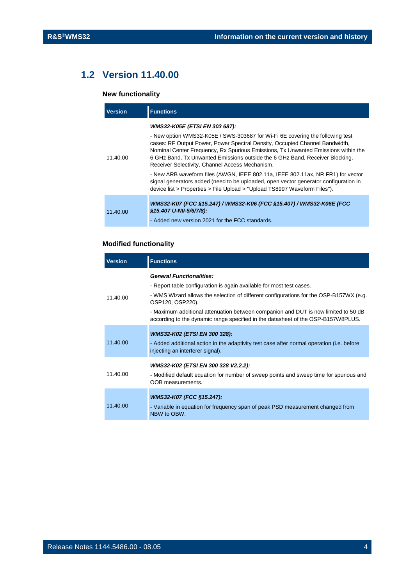## **1.2 Version 11.40.00**

#### <span id="page-3-0"></span>**New functionality**

| <b>Version</b> | <b>Functions</b>                                                                                                                                                                                                                                                                                                                                                                                                                                                                                                                                                                                                                                                              |
|----------------|-------------------------------------------------------------------------------------------------------------------------------------------------------------------------------------------------------------------------------------------------------------------------------------------------------------------------------------------------------------------------------------------------------------------------------------------------------------------------------------------------------------------------------------------------------------------------------------------------------------------------------------------------------------------------------|
| 11.40.00       | WMS32-K05E (ETSI EN 303 687):<br>- New option WMS32-K05E / SWS-303687 for Wi-Fi 6E covering the following test<br>cases: RF Output Power, Power Spectral Density, Occupied Channel Bandwidth,<br>Nominal Center Frequency, Rx Spurious Emissions, Tx Unwanted Emissions within the<br>6 GHz Band, Tx Unwanted Emissions outside the 6 GHz Band, Receiver Blocking,<br>Receiver Selectivity, Channel Access Mechanism.<br>- New ARB waveform files (AWGN, IEEE 802.11a, IEEE 802.11ax, NR FR1) for vector<br>signal generators added (need to be uploaded, open vector generator configuration in<br>device list > Properties > File Upload > "Upload TS8997 Waveform Files"). |
| 11.40.00       | WMS32-K07 (FCC §15.247) / WMS32-K06 (FCC §15.407) / WMS32-K06E (FCC<br>§15.407 U-NII-5/6/7/8):<br>- Added new version 2021 for the FCC standards.                                                                                                                                                                                                                                                                                                                                                                                                                                                                                                                             |

#### **Modified functionality**

| <b>Version</b> | <b>Functions</b>                                                                                                                                                                                                                                                                                                                                                                                |
|----------------|-------------------------------------------------------------------------------------------------------------------------------------------------------------------------------------------------------------------------------------------------------------------------------------------------------------------------------------------------------------------------------------------------|
| 11.40.00       | <b>General Functionalities:</b><br>- Report table configuration is again available for most test cases.<br>- WMS Wizard allows the selection of different configurations for the OSP-B157WX (e.g.<br>OSP120, OSP220).<br>- Maximum additional attenuation between companion and DUT is now limited to 50 dB<br>according to the dynamic range specified in the datasheet of the OSP-B157W8PLUS. |
| 11.40.00       | WMS32-K02 (ETSI EN 300 328):<br>- Added additional action in the adaptivity test case after normal operation (i.e. before<br>injecting an interferer signal).                                                                                                                                                                                                                                   |
| 11.40.00       | WMS32-K02 (ETSI EN 300 328 V2.2.2):<br>- Modified default equation for number of sweep points and sweep time for spurious and<br>OOB measurements.                                                                                                                                                                                                                                              |
| 11.40.00       | WMS32-K07 (FCC §15.247):<br>- Variable in equation for frequency span of peak PSD measurement changed from<br>NBW to OBW.                                                                                                                                                                                                                                                                       |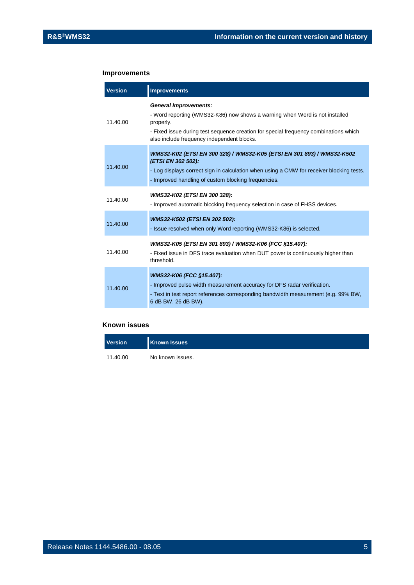#### **Improvements**

| <b>Version</b> | <b>Improvements</b>                                                                                                                                                                                                                                            |
|----------------|----------------------------------------------------------------------------------------------------------------------------------------------------------------------------------------------------------------------------------------------------------------|
| 11.40.00       | <b>General Improvements:</b><br>- Word reporting (WMS32-K86) now shows a warning when Word is not installed<br>properly.<br>- Fixed issue during test sequence creation for special frequency combinations which<br>also include frequency independent blocks. |
| 11.40.00       | WMS32-K02 (ETSI EN 300 328) / WMS32-K05 (ETSI EN 301 893) / WMS32-K502<br>(ETSI EN 302 502):<br>- Log displays correct sign in calculation when using a CMW for receiver blocking tests.<br>- Improved handling of custom blocking frequencies.                |
| 11.40.00       | WMS32-K02 (ETSI EN 300 328):<br>- Improved automatic blocking frequency selection in case of FHSS devices.                                                                                                                                                     |
| 11.40.00       | WMS32-K502 (ETSI EN 302 502):<br>- Issue resolved when only Word reporting (WMS32-K86) is selected.                                                                                                                                                            |
| 11.40.00       | WMS32-K05 (ETSI EN 301 893) / WMS32-K06 (FCC §15.407):<br>- Fixed issue in DFS trace evaluation when DUT power is continuously higher than<br>threshold.                                                                                                       |
| 11.40.00       | WMS32-K06 (FCC §15.407):<br>- Improved pulse width measurement accuracy for DFS radar verification.<br>- Text in test report references corresponding bandwidth measurement (e.g. 99% BW,<br>6 dB BW, 26 dB BW).                                               |

| <b>Version</b> | <b>Known Issues</b> |  |
|----------------|---------------------|--|
| 11.40.00       | No known issues.    |  |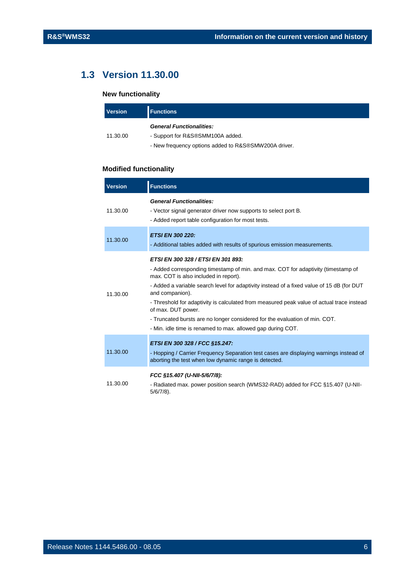## <span id="page-5-0"></span>**1.3 Version 11.30.00**

#### **New functionality**

| <b>Version</b> | <b>Functions</b>                                     |
|----------------|------------------------------------------------------|
|                | <b>General Functionalities:</b>                      |
| 11.30.00       | - Support for R&S®SMM100A added.                     |
|                | - New frequency options added to R&S®SMW200A driver. |

#### **Modified functionality**

| <b>Version</b> | <b>Functions</b>                                                                                                                                                                                                                                                                                                                                                                                                                                                                                                                                  |
|----------------|---------------------------------------------------------------------------------------------------------------------------------------------------------------------------------------------------------------------------------------------------------------------------------------------------------------------------------------------------------------------------------------------------------------------------------------------------------------------------------------------------------------------------------------------------|
| 11.30.00       | <b>General Functionalities:</b><br>- Vector signal generator driver now supports to select port B.<br>- Added report table configuration for most tests.                                                                                                                                                                                                                                                                                                                                                                                          |
| 11.30.00       | <b>ETSI EN 300 220:</b><br>- Additional tables added with results of spurious emission measurements.                                                                                                                                                                                                                                                                                                                                                                                                                                              |
| 11.30.00       | ETSI EN 300 328 / ETSI EN 301 893:<br>- Added corresponding timestamp of min. and max. COT for adaptivity (timestamp of<br>max. COT is also included in report).<br>- Added a variable search level for adaptivity instead of a fixed value of 15 dB (for DUT<br>and companion).<br>- Threshold for adaptivity is calculated from measured peak value of actual trace instead<br>of max. DUT power.<br>- Truncated bursts are no longer considered for the evaluation of min. COT.<br>- Min. idle time is renamed to max. allowed gap during COT. |
| 11.30.00       | ETSI EN 300 328 / FCC §15.247:<br>- Hopping / Carrier Frequency Separation test cases are displaying warnings instead of<br>aborting the test when low dynamic range is detected.                                                                                                                                                                                                                                                                                                                                                                 |
| 11.30.00       | FCC §15.407 (U-NII-5/6/7/8):<br>- Radiated max. power position search (WMS32-RAD) added for FCC §15.407 (U-NII-<br>$5/6/7/8$ ).                                                                                                                                                                                                                                                                                                                                                                                                                   |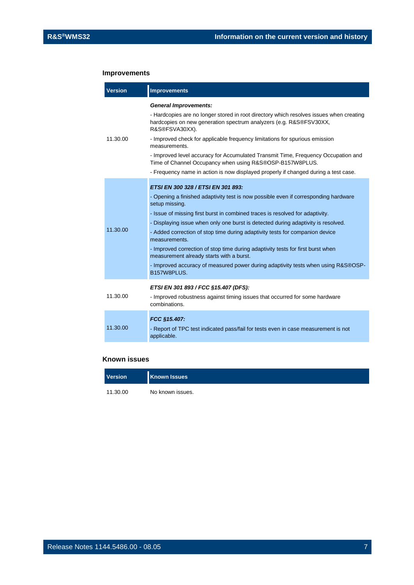#### **Improvements**

| <b>Version</b> | <b>Improvements</b>                                                                                                                                                                                                                                                                                                                                                                                                                                                                                                                                                                                                                                   |
|----------------|-------------------------------------------------------------------------------------------------------------------------------------------------------------------------------------------------------------------------------------------------------------------------------------------------------------------------------------------------------------------------------------------------------------------------------------------------------------------------------------------------------------------------------------------------------------------------------------------------------------------------------------------------------|
| 11.30.00       | <b>General Improvements:</b><br>- Hardcopies are no longer stored in root directory which resolves issues when creating<br>hardcopies on new generation spectrum analyzers (e.g. R&S®FSV30XX,<br>R&S®FSVA30XX).<br>- Improved check for applicable frequency limitations for spurious emission<br>measurements.<br>- Improved level accuracy for Accumulated Transmit Time, Frequency Occupation and<br>Time of Channel Occupancy when using R&S®OSP-B157W8PLUS.<br>- Frequency name in action is now displayed properly if changed during a test case.                                                                                               |
| 11.30.00       | ETSI EN 300 328 / ETSI EN 301 893:<br>- Opening a finished adaptivity test is now possible even if corresponding hardware<br>setup missing.<br>- Issue of missing first burst in combined traces is resolved for adaptivity.<br>- Displaying issue when only one burst is detected during adaptivity is resolved.<br>- Added correction of stop time during adaptivity tests for companion device<br>measurements.<br>- Improved correction of stop time during adaptivity tests for first burst when<br>measurement already starts with a burst.<br>- Improved accuracy of measured power during adaptivity tests when using R&S®OSP-<br>B157W8PLUS. |
| 11.30.00       | ETSI EN 301 893 / FCC §15.407 (DFS):<br>- Improved robustness against timing issues that occurred for some hardware<br>combinations.                                                                                                                                                                                                                                                                                                                                                                                                                                                                                                                  |
| 11.30.00       | FCC §15.407:<br>- Report of TPC test indicated pass/fail for tests even in case measurement is not<br>applicable.                                                                                                                                                                                                                                                                                                                                                                                                                                                                                                                                     |

| <b>Version</b> | <b>Known Issues</b> |
|----------------|---------------------|
| 11.30.00       | No known issues.    |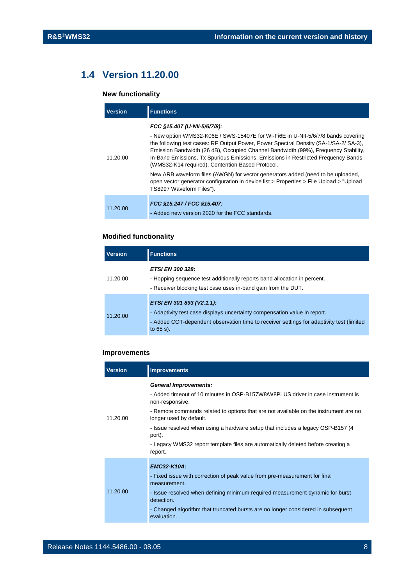## <span id="page-7-0"></span>**1.4 Version 11.20.00**

#### **New functionality**

| <b>Version</b> | <b>Functions</b>                                                                                                                                                                                                                                                                                                                                                                                                                                                                                                                                                                                                                                   |
|----------------|----------------------------------------------------------------------------------------------------------------------------------------------------------------------------------------------------------------------------------------------------------------------------------------------------------------------------------------------------------------------------------------------------------------------------------------------------------------------------------------------------------------------------------------------------------------------------------------------------------------------------------------------------|
| 11,20,00       | FCC §15.407 (U-NII-5/6/7/8):<br>- New option WMS32-K06E / SWS-15407E for Wi-Fi6E in U-NII-5/6/7/8 bands covering<br>the following test cases: RF Output Power, Power Spectral Density (SA-1/SA-2/ SA-3),<br>Emission Bandwidth (26 dB), Occupied Channel Bandwidth (99%), Frequency Stability,<br>In-Band Emissions, Tx Spurious Emissions, Emissions in Restricted Frequency Bands<br>(WMS32-K14 required), Contention Based Protocol.<br>New ARB waveform files (AWGN) for vector generators added (need to be uploaded,<br>open vector generator configuration in device list > Properties > File Upload > "Upload"<br>TS8997 Waveform Files"). |
| 11.20.00       | FCC §15.247 / FCC §15.407:<br>- Added new version 2020 for the FCC standards.                                                                                                                                                                                                                                                                                                                                                                                                                                                                                                                                                                      |

#### **Modified functionality**

| <b>Version</b> | <b>Functions</b>                                                                                                                                                                                                   |
|----------------|--------------------------------------------------------------------------------------------------------------------------------------------------------------------------------------------------------------------|
| 11.20.00       | <b>ETSI EN 300 328:</b><br>- Hopping sequence test additionally reports band allocation in percent.<br>- Receiver blocking test case uses in-band gain from the DUT.                                               |
| 11.20.00       | ETSI EN 301 893 (V2.1.1):<br>- Adaptivity test case displays uncertainty compensation value in report.<br>- Added COT-dependent observation time to receiver settings for adaptivity test (limited<br>to $65 s$ ). |

#### **Improvements**

| <b>Version</b> | <b>Improvements</b>                                                                                                                |
|----------------|------------------------------------------------------------------------------------------------------------------------------------|
| 11.20.00       | <b>General Improvements:</b><br>- Added timeout of 10 minutes in OSP-B157W8/W8PLUS driver in case instrument is                    |
|                | non-responsive.<br>- Remote commands related to options that are not available on the instrument are no<br>longer used by default. |
|                | - Issue resolved when using a hardware setup that includes a legacy OSP-B157 (4)<br>port).                                         |
|                | - Legacy WMS32 report template files are automatically deleted before creating a<br>report.                                        |
| 11.20.00       | <b>EMC32-K10A:</b>                                                                                                                 |
|                | - Fixed issue with correction of peak value from pre-measurement for final<br>measurement.                                         |
|                | - Issue resolved when defining minimum required measurement dynamic for burst<br>detection.                                        |
|                | - Changed algorithm that truncated bursts are no longer considered in subsequent<br>evaluation.                                    |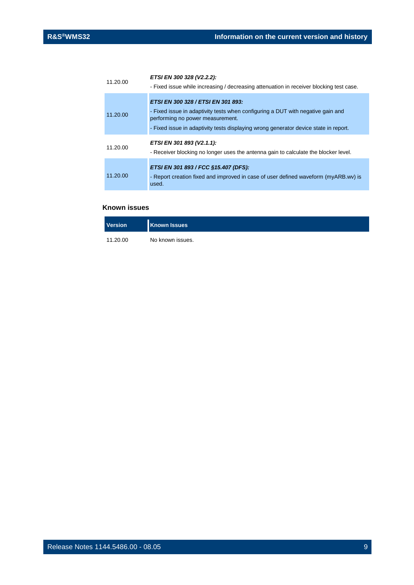| 11.20.00 | ETSI EN 300 328 (V2.2.2):<br>- Fixed issue while increasing / decreasing attenuation in receiver blocking test case.                                                                                                                              |
|----------|---------------------------------------------------------------------------------------------------------------------------------------------------------------------------------------------------------------------------------------------------|
| 11.20.00 | ETSI EN 300 328 / ETSI EN 301 893:<br>- Fixed issue in adaptivity tests when configuring a DUT with negative gain and<br>performing no power measurement.<br>- Fixed issue in adaptivity tests displaying wrong generator device state in report. |
| 11.20.00 | ETSI EN 301 893 (V2.1.1):<br>- Receiver blocking no longer uses the antenna gain to calculate the blocker level.                                                                                                                                  |
| 11.20.00 | ETSI EN 301 893 / FCC §15.407 (DFS):<br>- Report creation fixed and improved in case of user defined waveform (myARB.wv) is<br>used.                                                                                                              |

| <b>Version</b> | <b>Known Issues</b> |
|----------------|---------------------|
| 11.20.00       | No known issues.    |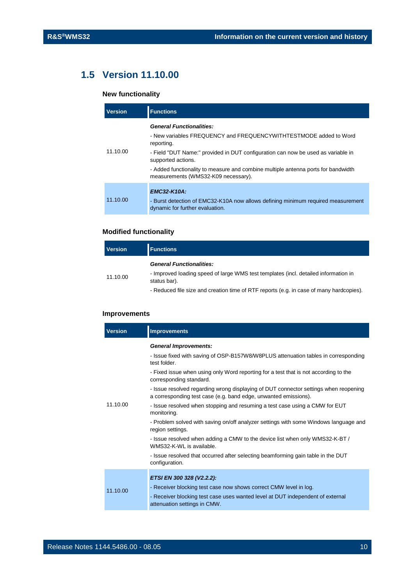## <span id="page-9-0"></span>**1.5 Version 11.10.00**

#### **New functionality**

| <b>Version</b> | <b>Functions</b>                                                                                                         |
|----------------|--------------------------------------------------------------------------------------------------------------------------|
| 11.10.00       | <b>General Functionalities:</b>                                                                                          |
|                | - New variables FREQUENCY and FREQUENCYWITHTESTMODE added to Word<br>reporting.                                          |
|                | - Field "DUT Name:" provided in DUT configuration can now be used as variable in<br>supported actions.                   |
|                | - Added functionality to measure and combine multiple antenna ports for bandwidth<br>measurements (WMS32-K09 necessary). |
|                | <b>EMC32-K10A:</b>                                                                                                       |
| 11.10.00       | - Burst detection of EMC32-K10A now allows defining minimum required measurement<br>dynamic for further evaluation.      |

#### **Modified functionality**

| <b>Version</b> | <b>Functions</b>                                                                                                                       |
|----------------|----------------------------------------------------------------------------------------------------------------------------------------|
| 11.10.00       | <b>General Functionalities:</b><br>- Improved loading speed of large WMS test templates (incl. detailed information in<br>status bar). |
|                | Deduced file airs and exaction time of DTE reports (e.g. in ease of mony bordeonical                                                   |

#### - Reduced file size and creation time of RTF reports (e.g. in case of many hardcopies).

#### **Improvements**

| <b>Version</b> | <b>Improvements</b>                                                                                                                                                                                                                                                                                                                                                                                                                                                                                                                                                                                                                                                                                                                                                                                                                          |
|----------------|----------------------------------------------------------------------------------------------------------------------------------------------------------------------------------------------------------------------------------------------------------------------------------------------------------------------------------------------------------------------------------------------------------------------------------------------------------------------------------------------------------------------------------------------------------------------------------------------------------------------------------------------------------------------------------------------------------------------------------------------------------------------------------------------------------------------------------------------|
| 11.10.00       | <b>General Improvements:</b><br>- Issue fixed with saving of OSP-B157W8/W8PLUS attenuation tables in corresponding<br>test folder.<br>- Fixed issue when using only Word reporting for a test that is not according to the<br>corresponding standard.<br>- Issue resolved regarding wrong displaying of DUT connector settings when reopening<br>a corresponding test case (e.g. band edge, unwanted emissions).<br>- Issue resolved when stopping and resuming a test case using a CMW for EUT<br>monitoring.<br>- Problem solved with saving on/off analyzer settings with some Windows language and<br>region settings.<br>- Issue resolved when adding a CMW to the device list when only WMS32-K-BT /<br>WMS32-K-WL is available.<br>- Issue resolved that occurred after selecting beamforming gain table in the DUT<br>configuration. |
| 11.10.00       | ETSI EN 300 328 (V2.2.2):<br>- Receiver blocking test case now shows correct CMW level in log.<br>- Receiver blocking test case uses wanted level at DUT independent of external<br>attenuation settings in CMW.                                                                                                                                                                                                                                                                                                                                                                                                                                                                                                                                                                                                                             |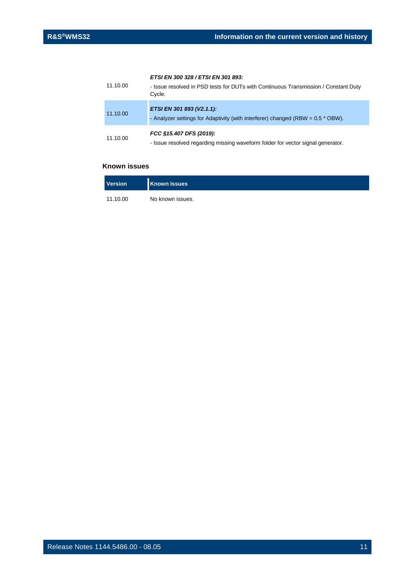#### *ETSI EN 300 328 / ETSI EN 301 893:*

| 11.10.00 | - Issue resolved in PSD tests for DUTs with Continuous Transmission / Constant Duty<br>Cycle.                |
|----------|--------------------------------------------------------------------------------------------------------------|
| 11.10.00 | ETSI EN 301 893 (V2.1.1):<br>- Analyzer settings for Adaptivity (with interferer) changed (RBW = 0.5 * OBW). |
| 11.10.00 | FCC §15.407 DFS (2019):<br>- Issue resolved regarding missing waveform folder for vector signal generator.   |

| Version  | <b>Known Issues</b> |
|----------|---------------------|
| 11.10.00 | No known issues.    |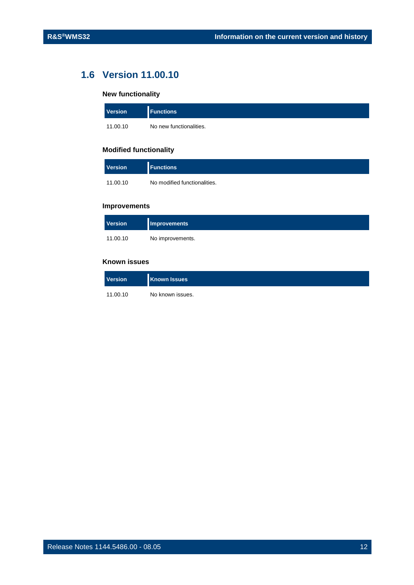### <span id="page-11-0"></span>**1.6 Version 11.00.10**

#### **New functionality**

| <b>Version</b> | <b>Functions</b>        |
|----------------|-------------------------|
| 11.00.10       | No new functionalities. |

#### **Modified functionality**

| <b>Version</b> | <b>Functions</b>             |
|----------------|------------------------------|
| 11.00.10       | No modified functionalities. |

#### **Improvements**

| <b>Version</b> | Improvements     |
|----------------|------------------|
| 11.00.10       | No improvements. |

| <b>Version</b> | <b>Known Issues</b> |
|----------------|---------------------|
| 11.00.10       | No known issues.    |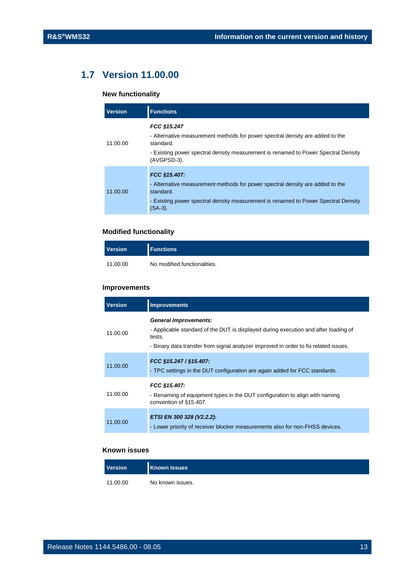## <span id="page-12-0"></span>**1.7 Version 11.00.00**

#### **New functionality**

| <b>Version</b> | <b>Functions</b>                                                                                                                                                                                               |
|----------------|----------------------------------------------------------------------------------------------------------------------------------------------------------------------------------------------------------------|
| 11.00.00       | FCC §15.247<br>- Alternative measurement methods for power spectral density are added to the<br>standard.<br>- Existing power spectral density measurement is renamed to Power Spectral Density<br>(AVGPSD-3). |
| 11.00.00       | FCC §15.407:<br>- Alternative measurement methods for power spectral density are added to the<br>standard.<br>- Existing power spectral density measurement is renamed to Power Spectral Density<br>$(SA-3)$ . |

#### **Modified functionality**

| <b>Version</b> | <b>I</b> Functions           |
|----------------|------------------------------|
| 11.00.00       | No modified functionalities. |

#### **Improvements**

| <b>Version</b> | <b>Improvements</b>                                                                                                                                                                                                   |
|----------------|-----------------------------------------------------------------------------------------------------------------------------------------------------------------------------------------------------------------------|
| 11.00.00       | <b>General Improvements:</b><br>- Applicable standard of the DUT is displayed during execution and after loading of<br>tests.<br>- Binary data transfer from signal analyzer improved in order to fix related issues. |
| 11.00.00       | FCC §15.247 / §15.407:<br>- TPC settings in the DUT configuration are again added for FCC standards.                                                                                                                  |
| 11.00.00       | FCC §15.407:<br>- Renaming of equipment types in the DUT configuration to align with naming<br>convention of §15.407.                                                                                                 |
| 11.00.00       | ETSI EN 300 328 (V2.2.2):<br>- Lower priority of receiver blocker measurements also for non-FHSS devices.                                                                                                             |

| <b>Version</b> | <b>Known Issues</b> |
|----------------|---------------------|
| 11.00.00       | No known issues.    |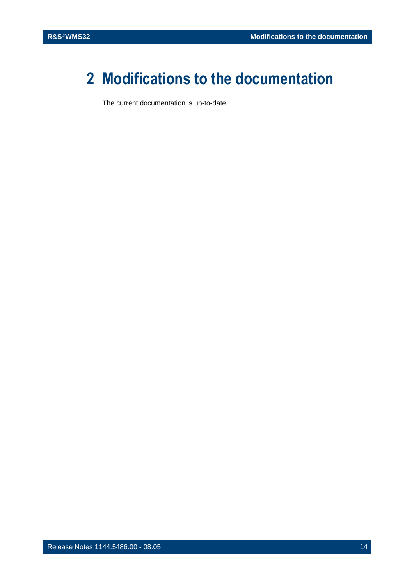## <span id="page-13-0"></span>**2 Modifications to the documentation**

The current documentation is up-to-date.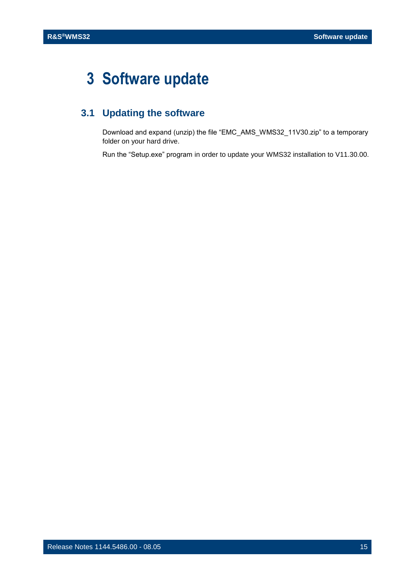## <span id="page-14-0"></span>**3 Software update**

## <span id="page-14-1"></span>**3.1 Updating the software**

Download and expand (unzip) the file "EMC\_AMS\_WMS32\_11V30.zip" to a temporary folder on your hard drive.

Run the "Setup.exe" program in order to update your WMS32 installation to V11.30.00.